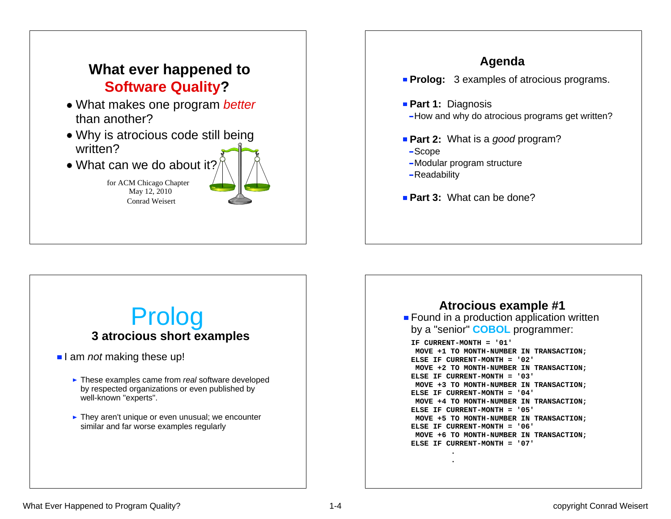### **What ever happened to Software Quality?**

- What makes one program *better* than another?
- Why is atrocious code still being written?
- What can we do about it

for ACM Chicago Chapter May 12, 2010 Conrad Weisert



### **Agenda Prolog:** 3 examples of atrocious programs. **Part 1: Diagnosis** - How and why do atrocious programs get written? **Part 2:** What is a *good* program? Scope -Modular program structure -Readability **Part 3: What can be done?**

#### **Found in a production application written** by a "senior" **COBOL** programmer: **IF CURRENT-MONTH = '01' MOVE +1 TO MONTH-NUMBER IN TRANSACTION; ELSE IF CURRENT-MONTH = '02' MOVE +2 TO MONTH-NUMBER IN TRANSACTION; ELSE IF CURRENT-MONTH = '03' MOVE +3 TO MONTH-NUMBER IN TRANSACTION; ELSE IF CURRENT-MONTH = '04' MOVE +4 TO MONTH-NUMBER IN TRANSACTION; ELSE IF CURRENT-MONTH = '05' MOVE +5 TO MONTH-NUMBER IN TRANSACTION; ELSE IF CURRENT-MONTH = '06' MOVE +6 TO MONTH-NUMBER IN TRANSACTION; ELSE IF CURRENT-MONTH = '07' . .Atrocious example #1**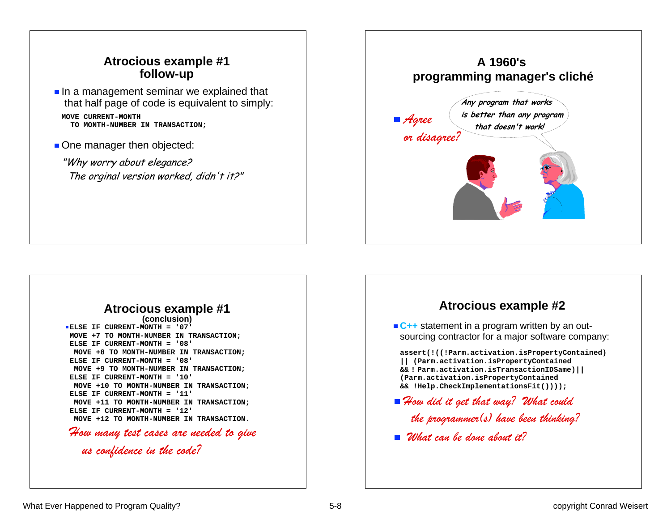#### **Atrocious example #1 follow-up**

- $\blacksquare$  In a management seminar we explained that that half page of code is equivalent to simply: **MOVE CURRENT-MONTH TO MONTH-NUMBER IN TRANSACTION;**
- One manager then objected:

"Why worry about elegance? The orginal version worked, didn't it?"

# **A 1960's programming manager's cliché** *Agree or disagree?* **Any program that works is better than any program that doesn't work!**

## **Atrocious example #1**

**ELSE IF CURRENT-MONTH = '07'MOVE +7 TO MONTH-NUMBER IN TRANSACTION; ELSE IF CURRENT-MONTH = '08' MOVE +8 TO MONTH-NUMBER IN TRANSACTION; ELSE IF CURRENT-MONTH = '08' MOVE +9 TO MONTH-NUMBER IN TRANSACTION; ELSE IF CURRENT-MONTH = '10' MOVE +10 TO MONTH-NUMBER IN TRANSACTION; ELSE IF CURRENT-MONTH = '11' MOVE +11 TO MONTH-NUMBER IN TRANSACTION; ELSE IF CURRENT-MONTH = '12' MOVE +12 TO MONTH-NUMBER IN TRANSACTION.**

*How many test cases are needed to give us confidence in the code?*

#### **Atrocious example #2**

■ C<sub>++</sub> statement in a program written by an outsourcing contractor for a major software company:

**assert(!((!Parm.activation.isPropertyContained) || (Parm.activation.isPropertyContained && ! Parm.activation.isTransactionIDSame)|| (Parm.activation.isPropertyContained && !Help.CheckImplementationsFit())));**

- *How did it get that way? What could the programmer(s) have been thinking?*
- *What can be done about it?*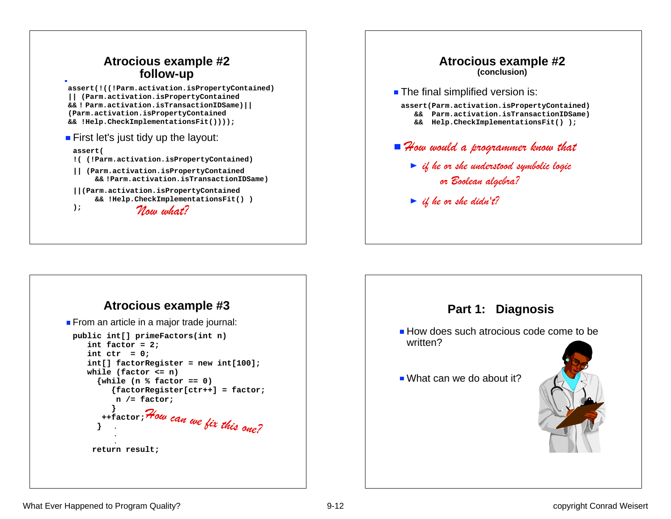





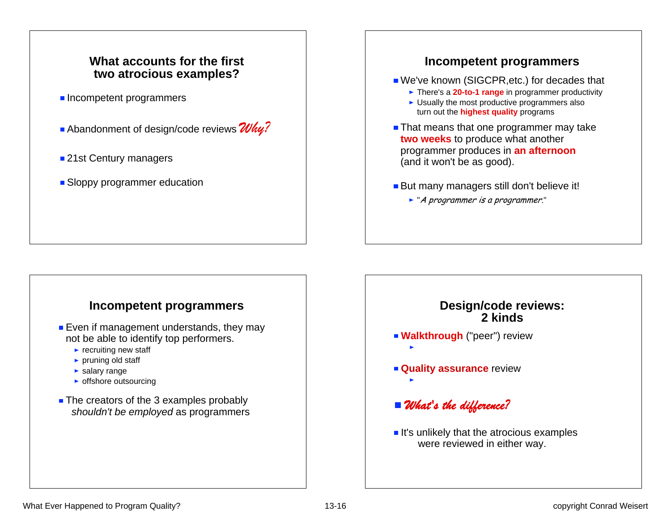#### **What accounts for the firsttwo atrocious examples?**

- **Incompetent programmers**
- Abandonment of design/code reviews **Why?**
- 21st Century managers
- **Sloppy programmer education**

#### **Incompetent programmers**

- We've known (SIGCPR, etc.) for decades that
	- ► There's a **20-to-1 range** in programmer productivity
	- $\blacktriangleright$  Usually the most productive programmers also turn out the **highest quality** programs
- **That means that one programmer may take two weeks** to produce what another programmer produces in **an afternoon** (and it won't be as good).
- But many managers still don't believe it!
	- ► "A programmer is a programmer."

#### **Incompetent programmers**

- **Even if management understands, they may** not be able to identify top performers.
	- $\blacktriangleright$  recruiting new staff
	- $\blacktriangleright$  pruning old staff
	- salary range
	- $\triangleright$  offshore outsourcing
- The creators of the 3 examples probably *shouldn't be employed* as programmers

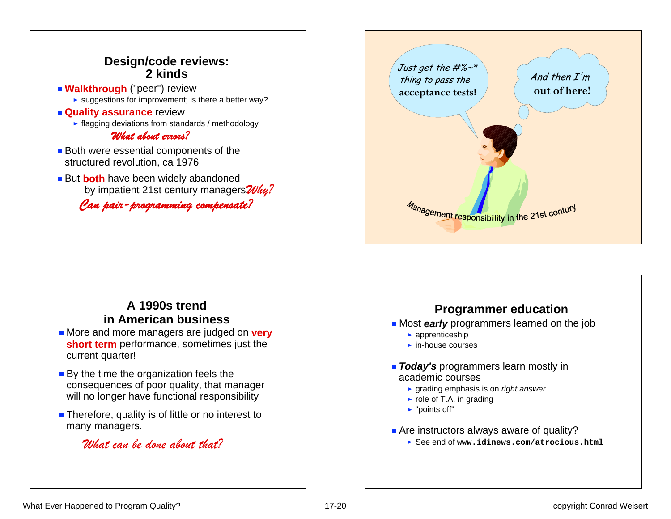



#### **A 1990s trendin American business**

- **More and more managers are judged on very short term** performance, sometimes just the current quarter!
- By the time the organization feels the consequences of poor quality, that manager will no longer have functional responsibility
- **Therefore, quality is of little or no interest to** many managers.

#### *What can be done about that?*

### **Programmer education**

**Most early** programmers learned on the job

- $\blacktriangleright$  apprenticeship
- $\blacktriangleright$  in-house courses
- **Today's** programmers learn mostly in academic courses
	- grading emphasis is on *right answer*
	- $\blacktriangleright$  role of T.A. in grading
	- ► "points off"
- Are instructors always aware of quality?
	- See end of **www.idinews.com/atrocious.html**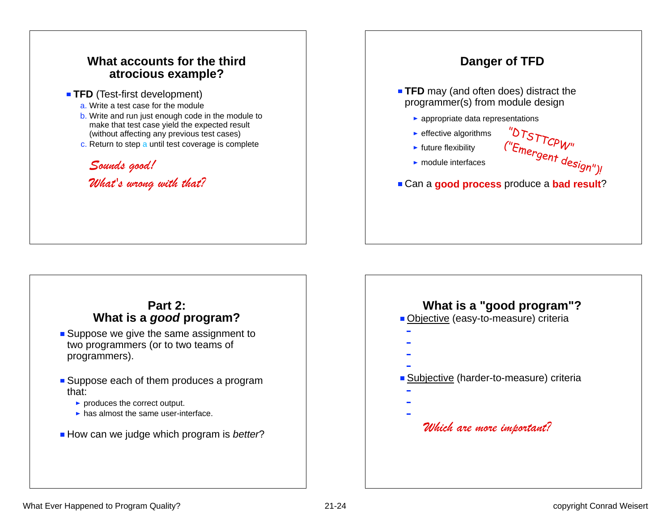



#### **Part 2:What is a** *good* **program?**

- **Suppose we give the same assignment to** two programmers (or to two teams of programmers).
- Suppose each of them produces a program that:
	- produces the correct output.
	- $\blacktriangleright$  has almost the same user-interface.
- How can we judge which program is *better*?

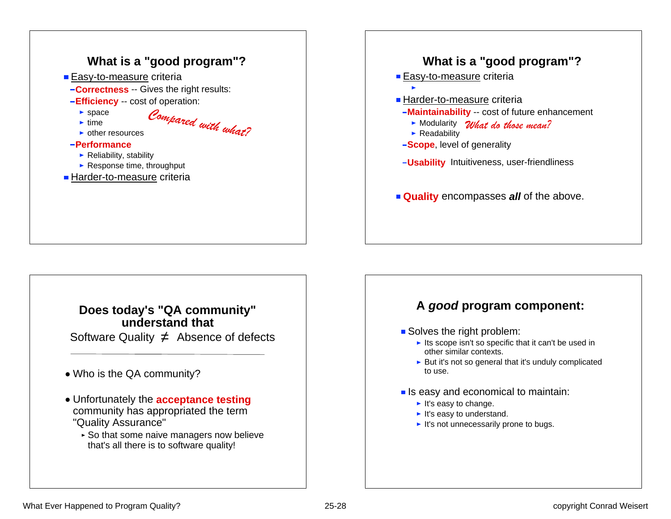



#### **Does today's "QA community" understand that**

Software Quality  $\neq$  Absence of defects

- Who is the QA community?
- Unfortunately the **acceptance testing** community has appropriated the term "Quality Assurance"
	- ► So that some naive managers now believe that's all there is to software quality!

#### **A** *good* **program component:**

- Solves the right problem:
	- $\blacktriangleright$  Its scope isn't so specific that it can't be used in other similar contexts.
	- $\triangleright$  But it's not so general that it's unduly complicated to use.
- $\blacksquare$  Is easy and economical to maintain:
	- $\blacktriangleright$  It's easy to change.
	- $\blacktriangleright$  It's easy to understand.
	- $\blacktriangleright$  It's not unnecessarily prone to bugs.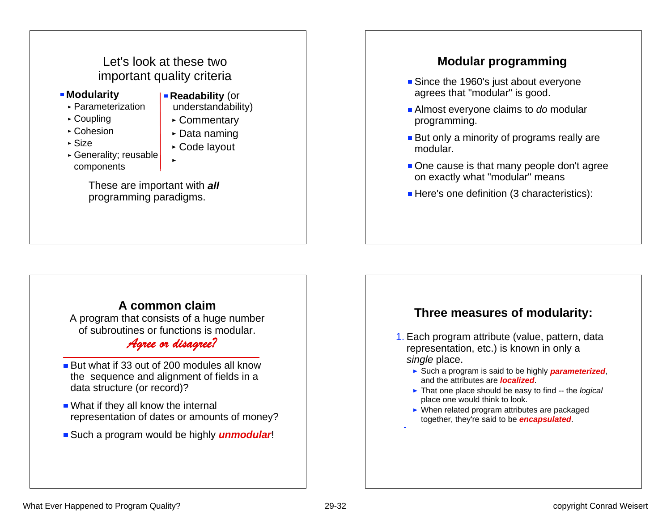### Let's look at these two important quality criteria

- **Modularity** 
	- Parameterization
	- ► Coupling
	- ► Cohesion
	- Size
- 
- Generality; reusable components
- $\triangleright$  Data naming Code layout

**Readability (or**  understandability) ► Commentary

These are important with *all* programming paradigms.

#### **A common claim**

A program that consists of a huge number of subroutines or functions is modular.

#### *Agree or disagree?*

- But what if 33 out of 200 modules all know the sequence and alignment of fields in a data structure (or record)?
- What if they all know the internal representation of dates or amounts of money?
- **Such a program would be highly** *unmodular***!**

#### **Modular programming**

- Since the 1960's just about everyone agrees that "modular" is good.
- Almost everyone claims to *do* modular programming.
- **But only a minority of programs really are** modular.
- One cause is that many people don't agree on exactly what "modular" means
- Here's one definition (3 characteristics):

#### **Three measures of modularity:**

- 1. Each program attribute (value, pattern, data representation, etc.) is known in only a *single* place.
	- ► Such a program is said to be highly **parameterized**, and the attributes are *localized*.
	- That one place should be easy to find -- the *logical* place one would think to look.
	- ▶ When related program attributes are packaged together, they're said to be *encapsulated*.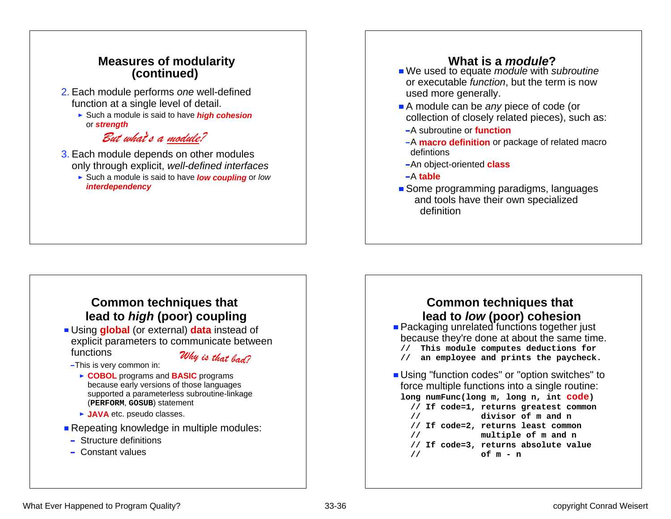#### **Measures of modularity (continued)**

- 2. Each module performs *one* well-defined function at a single level of detail.
	- Such a module is said to have *high cohesion* or *strength*

#### *But what*'*s a module?*

- 3. Each module depends on other modules only through explicit, *well-defined interfaces*
	- Such a module is said to have *low coupling* or *low interdependency*

#### **What is a** *module***?**

- We used to equate *module* with *subroutine* or executable *function*, but the term is now used more generally.
- A module can be *any* piece of code (or collection of closely related pieces), such as:
- A subroutine or **function**
- -A **macro definition** or package of related macro defintions
- An object-oriented **class**
- A **table**
- Some programming paradigms, languages and tools have their own specialized definition

#### **Common techniques that lead to** *high* **(poor) coupling**

- Using **global** (or external) **data** instead of explicit parameters to communicate between functions
	- -This is very common in:

*Why is that bad?*

- ► COBOL programs and **BASIC** programs because early versions of those languages supported a parameterless subroutine-linkage
	- (**PERFORM**, **GOSUB**) statement
- ► **JAVA** etc. pseudo classes.
- **Repeating knowledge in multiple modules:** 
	- Structure definitions
	- Constant values

#### **Common techniques that lead to** *low* **(poor) cohesion**<br>**Packaging unrelated functions together just** because they're done at about the same time. **// This module computes deductions for**  an employee and prints the paycheck. **Using "function codes" or "option switches" to** force multiple functions into a single routine: **long numFunc(long m, long n, int code) // If code=1, returns greatest common // divisor of m and n // If code=2, returns least common // multiple of m and n // If code=3, returns absolute value // of m - n**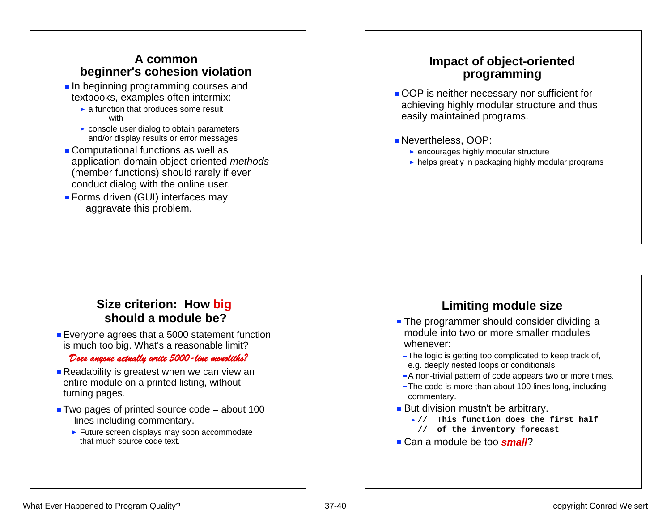#### **A commonbeginner's cohesion violation**

- In beginning programming courses and textbooks, examples often intermix:
	- $\blacktriangleright$  a function that produces some result with
	- **Exercise** console user dialog to obtain parameters and/or display results or error messages
- Computational functions as well as application-domain object-oriented *methods* (member functions) should rarely if ever conduct dialog with the online user.
- **Forms driven (GUI) interfaces may** aggravate this problem.

#### **Impact of object-oriented programming**

- OOP is neither necessary nor sufficient for achieving highly modular structure and thus easily maintained programs.
- Nevertheless, OOP:
	- $\blacktriangleright$  encourages highly modular structure
	- helps greatly in packaging highly modular programs

#### **Size criterion: How big should a module be?**

**Exergione agrees that a 5000 statement function** is much too big. What's a reasonable limit?

#### *Does anyone actually write 5000-line monoliths?*

- Readability is greatest when we can view an entire module on a printed listing, without turning pages.
- $\blacksquare$  Two pages of printed source code = about 100 lines including commentary.
	- $\blacktriangleright$  Future screen displays may soon accommodate that much source code text.

#### **Limiting module size**

- **The programmer should consider dividing a** module into two or more smaller modules whenever:
- The logic is getting too complicated to keep track of, e.g. deeply nested loops or conditionals.
- -A non-trivial pattern of code appears two or more times.
- -The code is more than about 100 lines long, including commentary.
- But division mustn't be arbitrary.
	- **// This function does the first half**
	- **// of the inventory forecast**
- Can a module be too *small*?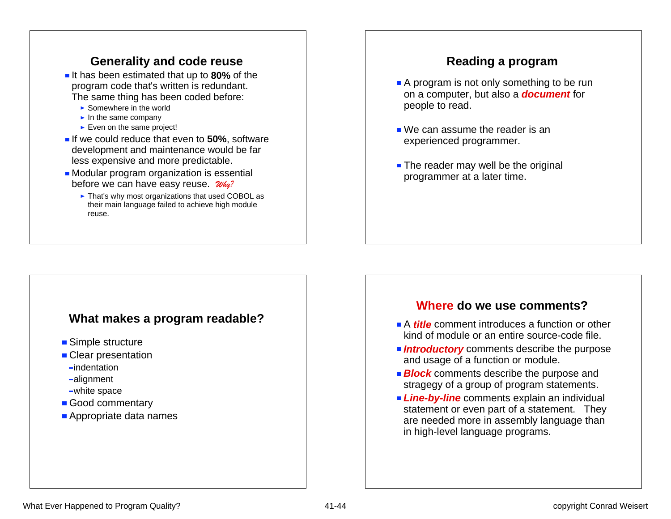#### **Generality and code reuse**

- If has been estimated that up to 80% of the program code that's written is redundant. The same thing has been coded before:
	- $\blacktriangleright$  Somewhere in the world
	- $\blacktriangleright$  In the same company
	- $\blacktriangleright$  Even on the same project!
- **If we could reduce that even to 50%, software** development and maintenance would be far less expensive and more predictable.
- **Modular program organization is essential** before we can have easy reuse. *Why?*
	- ► That's why most organizations that used COBOL as their main language failed to achieve high module reuse.

#### **Reading a program**

- A program is not only something to be run on a computer, but also a *document* for people to read.
- We can assume the reader is an experienced programmer.
- The reader may well be the original programmer at a later time.

#### **What makes a program readable?**

- Simple structure
- Clear presentation
- -indentation
- alignment
- white space
- Good commentary
- **Appropriate data names**

#### **Where do we use comments?**

- **A** *title* comment introduces a function or other kind of module or an entire source-code file.
- **Introductory** comments describe the purpose and usage of a function or module.
- **Block** comments describe the purpose and stragegy of a group of program statements.
- **Line-by-line** comments explain an individual statement or even part of a statement. They are needed more in assembly language than in high-level language programs.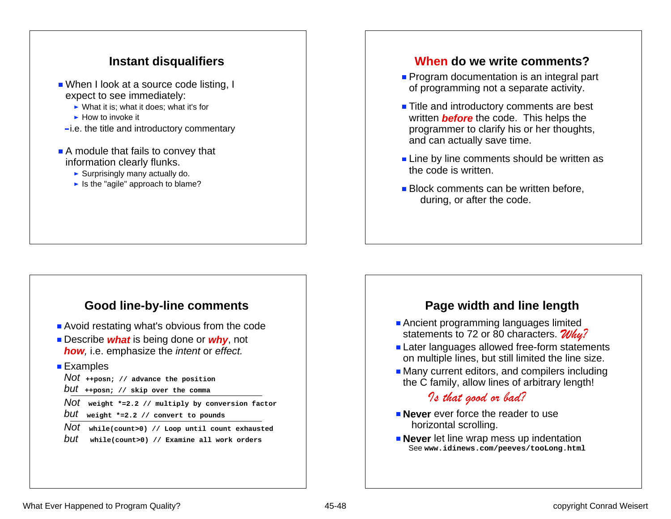#### **Instant disqualifiers**

- When I look at a source code listing, I expect to see immediately:
	- $\triangleright$  What it is: what it does: what it's for
	- $\blacktriangleright$  How to invoke it
- $-i.e.$  the title and introductory commentary
- A module that fails to convey that information clearly flunks.
	- $\blacktriangleright$  Surprisingly many actually do.
	- $\blacktriangleright$  Is the "agile" approach to blame?

#### **Good line-by-line comments**

- **Avoid restating what's obvious from the code**
- **Example:** Describe *what* is being done or *why*, not *how,* i.e. emphasize the *intent* or *effect.*
- Examples

*Not* **++posn; // advance the position** *but* **++posn; // skip over the comma**

*Not* **weight \*=2.2 // multiply by conversion factor** *but* **weight \*=2.2 // convert to pounds**

*Not* **while(count>0) // Loop until count exhausted** *but* **while(count>0) // Examine all work orders**

#### **When do we write comments?**

- **Program documentation is an integral part** of programming not a separate activity.
- Title and introductory comments are best written *before* the code. This helps the programmer to clarify his or her thoughts, and can actually save time.
- **Line by line comments should be written as** the code is written.
- **Block comments can be written before.** during, or after the code.

#### **Page width and line length**

- **Ancient programming languages limited** statements to 72 or 80 characters. *Why?*
- **Later languages allowed free-form statements** on multiple lines, but still limited the line size.
- **Many current editors, and compilers including** the C family, allow lines of arbitrary length!

#### *Is that good or bad?*

- **Never** ever force the reader to use horizontal scrolling.
- **Never** let line wrap mess up indentation See **www.idinews.com/peeves/tooLong.html**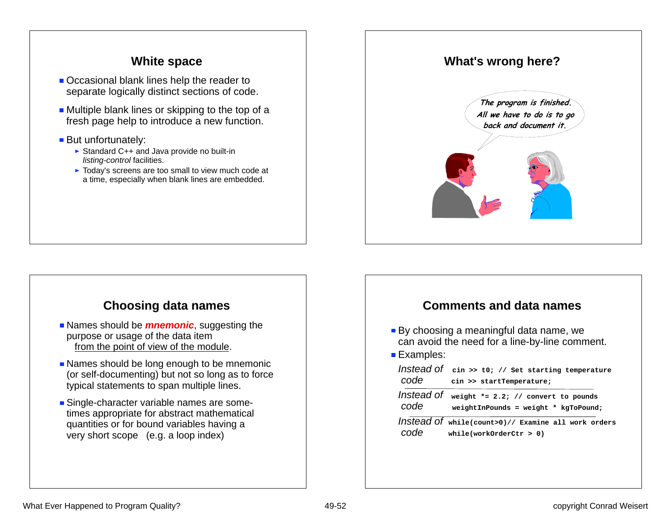#### **White space**

- Occasional blank lines help the reader to separate logically distinct sections of code.
- $\blacksquare$  Multiple blank lines or skipping to the top of a fresh page help to introduce a new function.
- But unfortunately:
	- ▶ Standard C++ and Java provide no built-in *listing-control* facilities.
	- $\triangleright$  Today's screens are too small to view much code at a time, especially when blank lines are embedded.

#### **Choosing data names**

- **Names should be** *mnemonic*, suggesting the purpose or usage of the data item from the point of view of the module.
- Names should be long enough to be mnemonic (or self-documenting) but not so long as to force typical statements to span multiple lines.
- **Single-character variable names are some**times appropriate for abstract mathematical quantities or for bound variables having a very short scope (e.g. a loop index)



#### **Comments and data names**

- By choosing a meaningful data name, we can avoid the need for a line-by-line comment.
- Examples:

|      |                          |  | Instead of cin >> t0; // Set starting temperature |
|------|--------------------------|--|---------------------------------------------------|
| code | cin >> startTemperature; |  |                                                   |

```
Instead of weight *= 2.2; // convert to pounds
code weightInPounds = weight * kgToPound;
```
*Instead of* **while(count>0)// Examine all work orders**  *code* **while(workOrderCtr > 0)**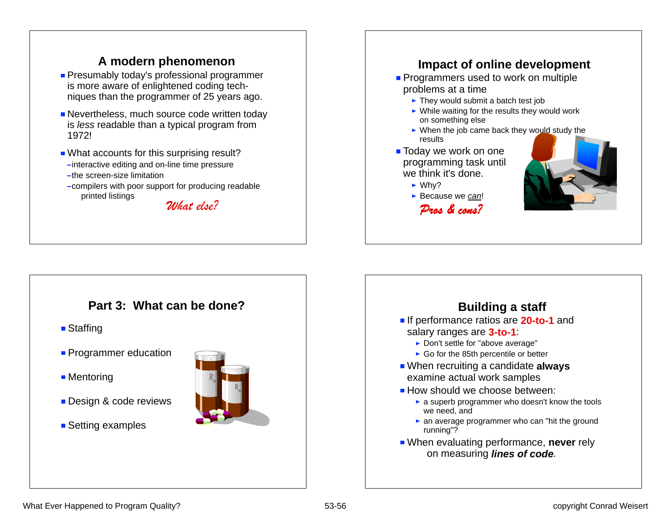#### **A modern phenomenon**

- **Presumably today's professional programmer** is more aware of enlightened coding techniques than the programmer of 25 years ago.
- **Nevertheless, much source code written today** is *less* readable than a typical program from 1972!
- What accounts for this surprising result? -interactive editing and on-line time pressure -the screen-size limitation
- -compilers with poor support for producing readable printed listings *What else?*

#### **Impact of online development Programmers used to work on multiple** problems at a time  $\blacktriangleright$  They would submit a batch test job  $\triangleright$  While waiting for the results they would work on something else  $\triangleright$  When the job came back they would study the results**Today we work on one**

- programming task until we think it's done.
	- $\blacktriangleright$  Whv?
	- Because we *can*! *Pros & cons?*



#### **Part 3: What can be done?**

- Staffing
- **Programmer education**
- Mentoring
- Design & code reviews
- Setting examples



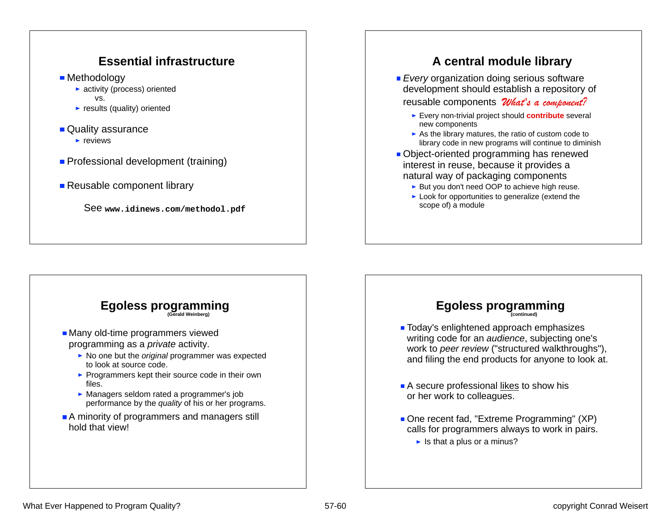#### **Essential infrastructure**

**Methodology** 

- ▶ activity (process) oriented vs.
- $\blacktriangleright$  results (quality) oriented
- Quality assurance
	- $\blacktriangleright$  reviews
- **Professional development (training)**

#### ■ Reusable component library

See **www.idinews.com/methodol.pdf**

#### **A central module library**

**Every** organization doing serious software development should establish a repository of

reusable components *What's a component?*

- Every non-trivial project should **contribute** several new components
- $\triangleright$  As the library matures, the ratio of custom code to library code in new programs will continue to diminish
- Object-oriented programming has renewed interest in reuse, because it provides a natural way of packaging components
	- ► But you don't need OOP to achieve high reuse.
	- $\blacktriangleright$  Look for opportunities to generalize (extend the scope of) a module



### **Egoless programming (continued)**

- **Today's enlightened approach emphasizes** writing code for an *audience*, subjecting one's work to *peer review* ("structured walkthroughs"), and filing the end products for anyone to look at.
- A secure professional likes to show his or her work to colleagues.
- One recent fad, "Extreme Programming" (XP) calls for programmers always to work in pairs.
	- $\blacktriangleright$  Is that a plus or a minus?